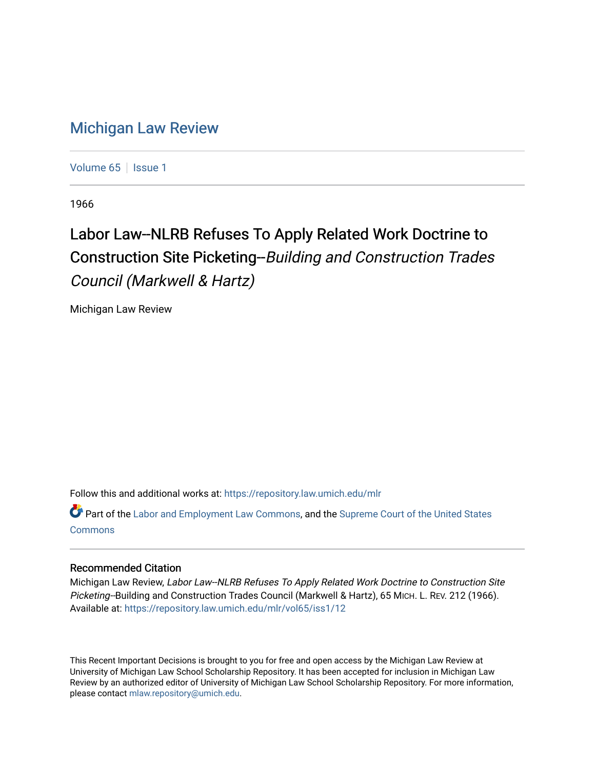## [Michigan Law Review](https://repository.law.umich.edu/mlr)

[Volume 65](https://repository.law.umich.edu/mlr/vol65) | [Issue 1](https://repository.law.umich.edu/mlr/vol65/iss1)

1966

## Labor Law--NLRB Refuses To Apply Related Work Doctrine to Construction Site Picketing--Building and Construction Trades Council (Markwell & Hartz)

Michigan Law Review

Follow this and additional works at: [https://repository.law.umich.edu/mlr](https://repository.law.umich.edu/mlr?utm_source=repository.law.umich.edu%2Fmlr%2Fvol65%2Fiss1%2F12&utm_medium=PDF&utm_campaign=PDFCoverPages) 

Part of the [Labor and Employment Law Commons](http://network.bepress.com/hgg/discipline/909?utm_source=repository.law.umich.edu%2Fmlr%2Fvol65%2Fiss1%2F12&utm_medium=PDF&utm_campaign=PDFCoverPages), and the [Supreme Court of the United States](http://network.bepress.com/hgg/discipline/1350?utm_source=repository.law.umich.edu%2Fmlr%2Fvol65%2Fiss1%2F12&utm_medium=PDF&utm_campaign=PDFCoverPages) **[Commons](http://network.bepress.com/hgg/discipline/1350?utm_source=repository.law.umich.edu%2Fmlr%2Fvol65%2Fiss1%2F12&utm_medium=PDF&utm_campaign=PDFCoverPages)** 

## Recommended Citation

Michigan Law Review, Labor Law--NLRB Refuses To Apply Related Work Doctrine to Construction Site Picketing--Building and Construction Trades Council (Markwell & Hartz), 65 MICH. L. REV. 212 (1966). Available at: [https://repository.law.umich.edu/mlr/vol65/iss1/12](https://repository.law.umich.edu/mlr/vol65/iss1/12?utm_source=repository.law.umich.edu%2Fmlr%2Fvol65%2Fiss1%2F12&utm_medium=PDF&utm_campaign=PDFCoverPages) 

This Recent Important Decisions is brought to you for free and open access by the Michigan Law Review at University of Michigan Law School Scholarship Repository. It has been accepted for inclusion in Michigan Law Review by an authorized editor of University of Michigan Law School Scholarship Repository. For more information, please contact [mlaw.repository@umich.edu.](mailto:mlaw.repository@umich.edu)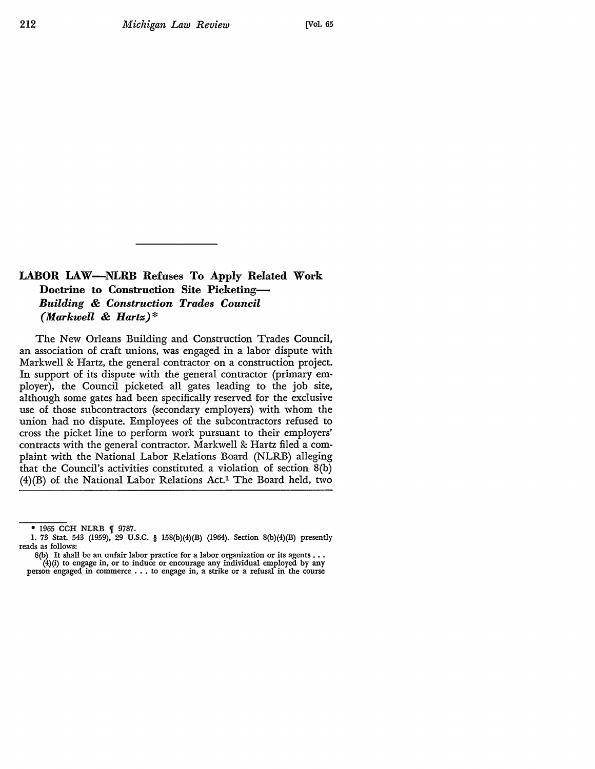## **LABOR LAW-NLRB** Refuses **To Apply Related Work Doctrine to Construction Site Picketing-***Building* & *Construction Trades Council (Markwell* & *Hartz)\**

The New Orleans Building and Construction Trades Council, an association of craft unions, was engaged in a labor dispute with Markwell & Hartz, the general contractor on a construction project. In support of its dispute with the general contractor (primary employer), the Council picketed all gates leading to the job site, although some gates had been specifically reserved for the exclusive use of those subcontractors (secondary employers) with whom the union had no dispute. Employees of the subcontractors refused to cross the picket line to perform work pursuant to their employers' contracts with the general contractor. Markwell & Hartz filed a complaint with the National Labor Relations Board (NLRB) alleging that the Council's activities constituted a violation of section 8(b) (4)(B) of the National Labor Relations Act.1 The Board held, two

<sup>\* 1965</sup> CCH NLRB { 9787.

<sup>1. 73</sup> Stat. 543 (1959), 29 U.S.C. § 158(b)(4)(B) (1964). Section 8(b)(4)(B) presently reads as follows:

 $8(b)$  It shall be an unfair labor practice for a labor organization or its agents ... (4)(i) to engage in, or to induce or encourage any individual employed by any person engaged in commerce . • . to engage in, a strike or a refusal in the course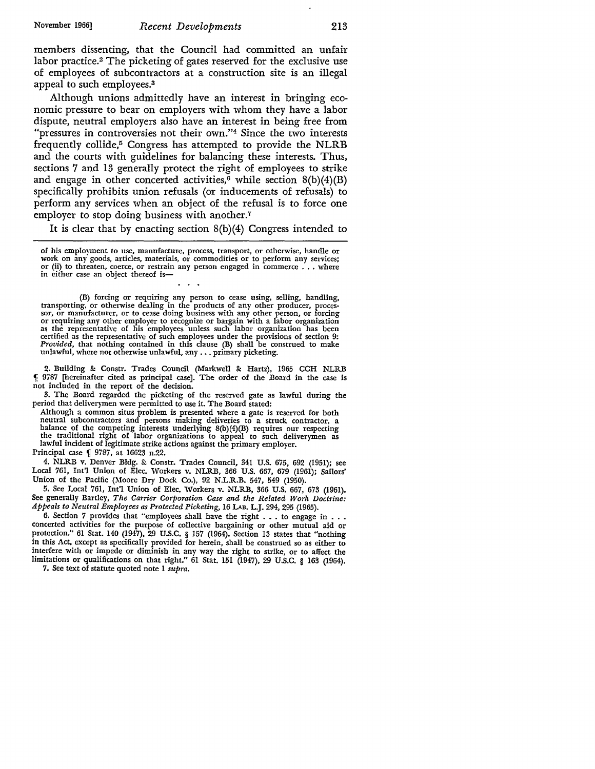members dissenting, that the Council had committed an unfair labor practice.2 The picketing of gates reserved for the exclusive use of employees of subcontractors at a construction site is an illegal appeal to such employees.<sup>3</sup>

Although unions admittedly have an interest in bringing economic pressure to bear on employers with whom they have a labor dispute, neutral employers also have an interest in being free from "pressures in controversies not their own."<sup>4</sup> Since the two interests frequently collide,<sup>5</sup> Congress has attempted to provide the NLRB and the courts with guidelines for balancing these interests. Thus, sections 7 and 13 generally protect the right of employees to strike and engage in other concerted activities,<sup>6</sup> while section  $8(b)(4)(B)$ specifically prohibits union refusals (or inducements of refusals) to perform any services when an object of the refusal is to force one employer to stop doing business with another.<sup>7</sup>

It is clear that by enacting section 8(b)(4) Congress intended to

of his employment to use, manufacture, process, transport, or otherwise, handle or work on any goods, articles, materials, or commodities or to perform any services; or (ii) to threaten, coerce, or restrain any person enga in either case an object thereof is-

(B) forcing or requiring any person to cease using, selling, handling, transporting, or otherwise dealing in the products of any other producer, processor, or manufacturer, or to cease doing business with any other person, or forcing or requiring any other employer to recognize or bargain wit certified as the representative of such employees under the provisions of section 9: *Provided*, that nothing contained in this clause (B) shall be construed to make unlawful, where not otherwise unlawful, any ... primary

2. Building &: Constr. Trades Council (Markwell &: Hartz), 1965 CCH NLRB f: 9787 [hereinafter cited as principal case]. The order of the Board in the case is not included in the report of the decision.

3. The Board regarded the picketing of the reserved gate as lawful during the period that deliverymen were permitted to use it. The Board stated:

Although a common situs problem is presented where a gate is reserved for both neutral subcontractors and persons making deliveries to a struck contractor, a balance of the competing interests underlying 8(b)(4)(B) requires our respecting the traditional right of labor organizations to appeal to such deliverymen as lawful incident of legitimate strike actions against the primary employer. Principal case | 9787, at 16623 n.22.

4. NLRB v. Denver Bldg. & Constr. Trades Council, 341 U.S. 675, 692 (1951); see Local 761, Int'l Union of Elec. Workers v. NLRB, 366 U.S. 667, 679 (1961); Sailors'

Union of the Pacific (Moore Dry Dock Co.), 92 N.L.R.B. 547, 549 (1950).

5. See Local 761, Int'! Union of Elec. Workers v. NLRB, 366 U.S. 667, 673 (1961). See generally Bartley, *The Carrier Corporation Case and the Related Work Doctrine: Appeals to Neutral Employees as Protected Picketing,* 16 LAB. L.J. 294, 295 (1965).

6. Section 7 provides that "employees shall have the right  $\dots$  to engage in  $\dots$ concerted activities for the purpose of collective bargaining or other mutual aid or protection." 61 Stat. 140 (1947), 29 U.S.C. § 157 (1964). Section 13 states that "nothing in this Act, except as specifically provided for herein, shall be construed so as either to interfere with or impede or diminish in any way the right to strike, or to affect the limitations or qualifications on that right." 61 Stat. 151 (1947), 29 U.S.C. § 163 (1964).

7. See text of statute quoted note 1 *supra.*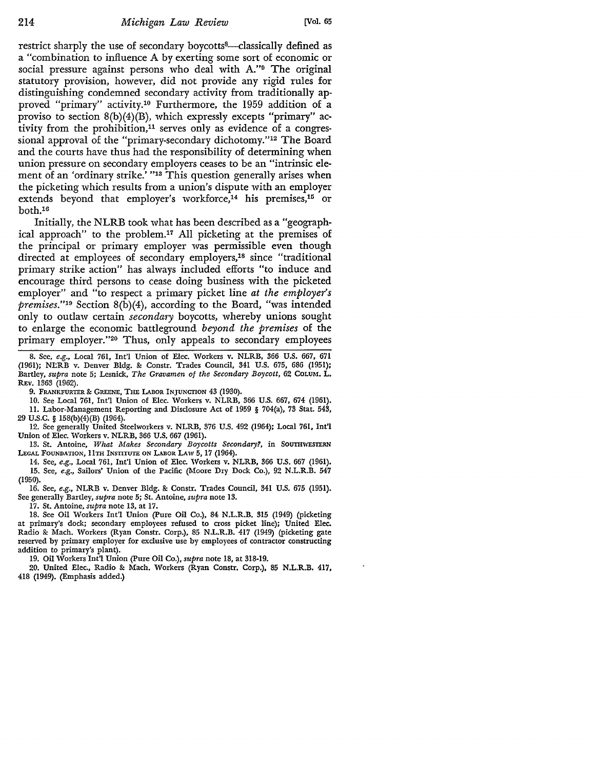restrict sharply the use of secondary boycotts<sup>8</sup>—classically defined as a "combination to influence A by exerting some sort of economic or social pressure against persons who deal with A."9 The original statutory provision, however, did not provide any rigid rules for distinguishing condemned secondary activity from traditionally approved "primary" activity.1° Furthermore, the 1959 addition of a proviso to section  $8(b)(4)(B)$ , which expressly excepts "primary" activity from the prohibition,<sup>11</sup> serves only as evidence of a congressional approval of the "primary-secondary dichotomy."12 The Board and the courts have thus had the responsibility of determining when union pressure on secondary employers ceases to be an "intrinsic element of an 'ordinary strike.' "<sup>13</sup> This question generally arises when the picketing which results from a union's dispute with an employer extends beyond that employer's workforce,<sup>14</sup> his premises,<sup>15</sup> or both.16

Initially, the NLRB took what has been described as a "geographical approach" to the problem.17 All picketing at the premises of the principal or primary employer was permissible even though directed at employees of secondary employers,<sup>18</sup> since "traditional primary strike action" has always included efforts "to induce and encourage third persons to cease doing business with the picketed employer" and "to respect a primary picket line *at the employer's premises.''19* Section 8(b)(4), according to the Board, "was intended only to outlaw certain *secondary* boycotts, whereby unions sought to enlarge the economic battleground *beyond the premises* of the primary employer."20 Thus, only appeals to secondary employees

9. FRANKFURTER & GREENE, THE LABOR INJUNCTION 43 (1930).

10. See Local 761, Int'l Union of Elec. Workers v. NLRB, 366 U.S. 667, 674 (1961).

11. Labor-Management Reporting and Disclosure Act of 1959 § 704(a), 73 Stat. 543, 29 U.S.C. § 158(b)(4)(B) (1964).

12. See generally United Steelworkers v. NLRB, 376 U.S. 492 (1964); Local 761, Int'! Union of Elec. Workers v. NLRB, 366 U.S. 667 (1961).

13. St. Antoine, *What Makes Secondary Boycotts Secondary?*, in SOUTHWESTERN LEGAL FOUNDATION, 11TH INSTITUTE ON LABOR LAW 5, 17 (1964).

14. See, *e.g.,* Local 761, Int'! Union of Elec. Workers v. NLRB, 366 U.S. 667 (1961). 15. See, *e.g.,* Sailors' Union of the Pacific (Moore Dry Dock Co.), 92 N.L.R.B. 547 (1950).

16. See, *e.g.,* NLRB v. Denver Bldg. &: Constr. Trades Council, 341 U.S. 675 (1951). See generally Bartley, *supra* note 5; St. Antoine, *supra* note 13.

17. St. Antoine, *supra* note 13, at 17.

18. See Oil Workers Int'l Union (Pure Oil Co.), 84 N.L.R.B. 315 (1949) (picketing at primary's dock; secondary employees refused to cross picket line); United Elec. Radio &: Mach. Workers (Ryan Constr. Corp.), 85 N.L.R.B. 417 (1949) (picketing gate reserved by primary employer for exclusive use by employees of contractor constructing addition to primary's plant).

19. Oil Workers Int'! Union (Pure Oil Co.), *supra* note 18, at 318-19.

20. United Elec., Radio &: Mach. Workers (Ryan Constr. Corp.), 85 N.L.R.B. 417, 418 (1949). (Emphasis added.)

<sup>8.</sup> See, *e.g.,* Local 761, Int'l Union of Elec. Workers v. NLRB, 366 U.S. 667, 671 (1961); NLRB v. Denver Bldg. & Constr. Trades Council, 341 U.S. 675, 686 (1951); Bartley, *supra* note 5; Lesnick, *The Gravamen of the Secondary Boycott,* 62 CoLUM. L. REv. 1363 (1962).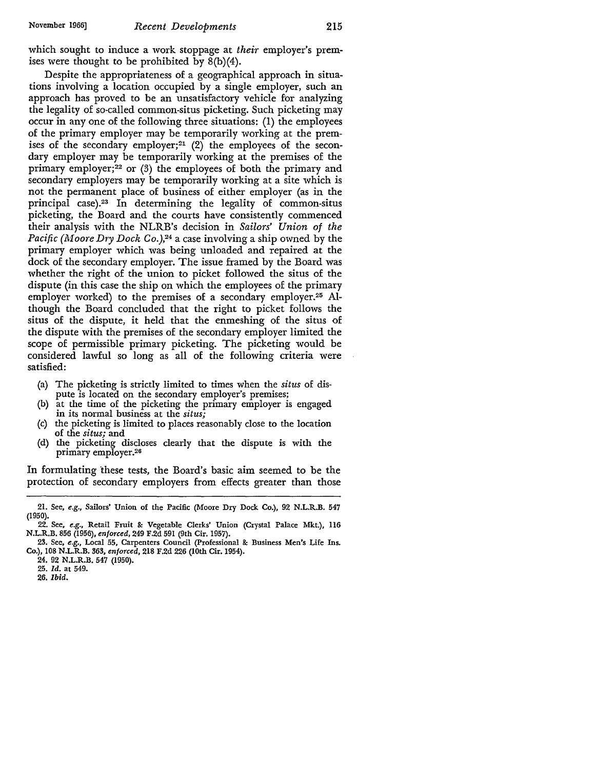which sought to induce a work stoppage at *their* employer's premises were thought to be prohibited by 8(b)(4).

Despite the appropriateness of a geographical approach in situations involving a location occupied by a single employer, such an approach has proved to be an unsatisfactory vehicle for analyzing the legality of so-called common-situs picketing. Such picketing may occur in any one of the following three situations: (1) the employees of the primary employer may be temporarily working at the premises of the secondary employer;<sup>21</sup>  $(2)$  the employees of the secondary employer may be temporarily working at the premises of the primary employer; $^{22}$  or (3) the employees of both the primary and secondary employers may be temporarily working at a site which is not the permanent place of business of either employer (as in the principal case).23 In determining the legality of common-situs picketing, the Board and the courts have consistently commenced their analysis with the NLRB's decision in *Sailors' Union of the Pacific (Moore Dry Dock Co.),*<sup>24</sup> a case involving a ship owned by the primary employer which was being unloaded and repaired at the dock of the secondary employer. The issue framed by the Board was whether the right of the union to picket followed the situs of the dispute (in this case the ship on which the employees of the primary employer worked) to the premises of a secondary employer.<sup>25</sup> Although the Board concluded that the right to picket follows the situs of the dispute, it held that the enmeshing of the situs of the dispute with the premises of the secondary employer limited the scope of permissible primary picketing. The picketing would be considered lawful so long as all of the following criteria were satisfied:

- (a) The picketing is strictly limited to times when the *situs* of dispute is located on the secondary employer's premises;
- (b) at the time of the picketing the primary employer is engaged **in** its normal business at the *situs;*
- (c) the picketing is limited to places reasonably close to the location of the *situs;* and
- (d) the picketing discloses clearly that the dispute is with the primary employer.2s

In formulating these tests, the Board's basic aim seemed to be the protection of secondary employers from effects greater than those

26, *Ibid.* 

<sup>21.</sup> See, *e.g.,* Sailors' Union of the Pacific (Moore Dry Dock Co.), 92 N.L.R.B. 547 (1950).

<sup>22.</sup> See, *e.g.,* Retail Fruit &: Vegetable Clerks' Union (Crystal Palace Mkt.), 116 N.L.R.B. 856 (1956), *enforced,* 249 F.2d 591 (9th Cir. 1957).

<sup>23.</sup> See, *e.g.,* Local 55, Carpenters Council (Professional &: Business Men's Life Ins. Co.), 108 N.L.R.B. 363, *enforced,* 218 F.2d 226 (10th Cir. 1954).

<sup>24. 92</sup> N.L.R.B. 547 (1950).

<sup>25.</sup> *Id.* at 549.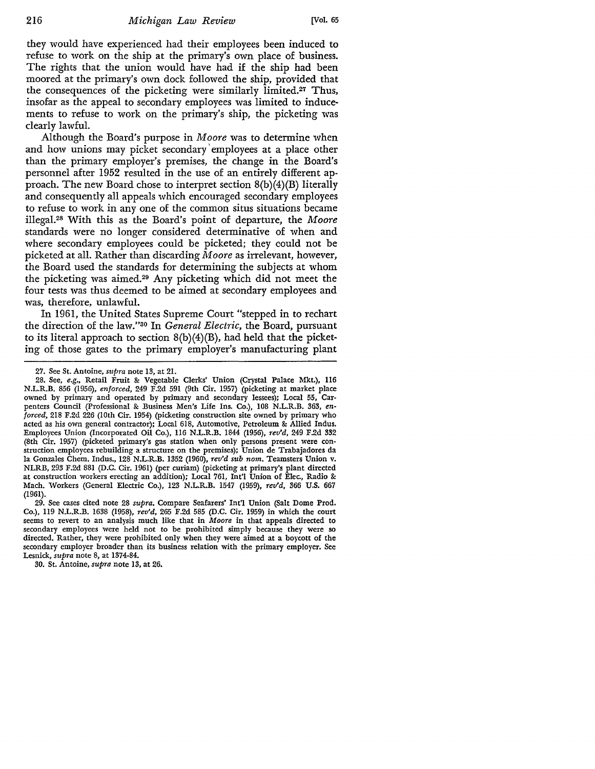they would have experienced had their employees been induced to refuse to work on the ship at the primary's own place of business. The rights that the union would have had if the ship had been moored at the primary's own dock followed the ship, provided that the consequences of the picketing were similarly limited.27 Thus, insofar as the appeal to secondary employees was limited to inducements to refuse to work on the primary's ship, the picketing was clearly lawful.

Although the Board's purpose in *Moore* was to determine when and how unions may picket secondary' employees at a place other than the primary employer's premises, the change in the Board's personnel after 1952 resulted in the use of an entirely different approach. The new Board chose to interpret section 8(b)(4)(B) literally and consequently all appeals which encouraged secondary employees to refuse to work in any one of the common situs situations became illegal.28 With this as the Board's point of departure, the *Moore*  standards were no longer considered determinative of when and where secondary employees could be picketed; they could not be picketed at all. Rather than discarding *Moore* as irrelevant, however, the Board used the standards for determining the subjects at whom the picketing was aimed.29 Any picketing which did not meet the four tests was thus deemed to be aimed at secondary employees and was, therefore, unlawful.

In 1961, the United States Supreme Court "stepped in to rechart the direction of the law."30 In *General Electric,* the Board, pursuant to its literal approach to section  $8(b)(4)(B)$ , had held that the picketing of those gates to the primary employer's manufacturing plant

29. See cases cited note 28 *supra.* Compare Seafarers' Int'l Union (Salt Dome Prod. Co.), 119 N.L.R.B. 1638 (1958), *rev'd,* 265 F.2d 585 (D.C. Cir. 1959) in which the court seems to revert to an analysis much like that in *Moore* in that appeals directed to secondary employees were held not to be prohibited simply because they were so directed. Rather, they were prohibited only when they were aimed at a boycott of the secondary employer broader than its business relation with the primary employer. See Lesnick, *supra* note 8, at 1374-84.

30. St. Antoine, *supra* note 13, at 26.

<sup>27.</sup> See St. Antoine, *supra* note 13, at 21.

<sup>28.</sup> See, *e.g.,* Retail Fruit & Vegetable Clerks' Union (Crystal Palace Mkt.), 116 N.L.R.B. 856 (1956), *enforced,* 249 F.2d 591 (9th Cir. 1957) (picketing at market place owned by primary and operated by primary and secondary lessees); Local 55, Carpenters Council (Professional & Business Men's Life Ins. Co.), 108 N.L.R.B. 363, *enforced,* 218 F.2d 226 (10th Cir. 1954) (picketing construction site owned by primary who acted as his own general contractor); Local 618, Automotive, Petroleum & Allied Indus. Employees Union (Incorporated Oil Co.), 116 N.L.R.B. 1844 (1956), *rev'd,* 249 F.2d 332 (8th Cir. 1957) (picketed primary's gas station when only persons present were construction employees rebuilding a structure on the premises); Union de Trabajadores da Ia Gonzales Chem. Indus., 128 N.L.R.B. 1352 (1960), *rev'd sub nom.* Teamsters Union v. NLRB, 293 F.2d 881 (D.C. Cir. 1961) (per curiam) (picketing at primary's plant directed at construction workers erecting an addition); Local 761, Int'I Union of Elec., Radio & Mach. Workers (General Electric Co.), 123 N.L.R.B. 1547 (1959), *rev'd,* 366 **U.S.** 667  $(1961)$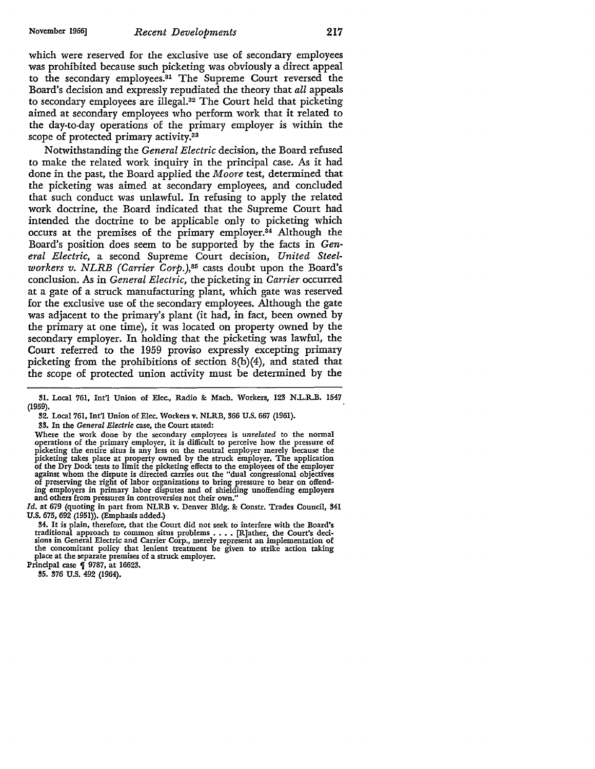which were reserved for the exclusive use of secondary employees was prohibited because such picketing was obviously a direct appeal to the secondary employees.31 The Supreme Court reversed the Board's decision and expressly repudiated the theory that *all* appeals to secondary employees are illegal.32 The Court held that picketing aimed at secondary employees who perform work that it related to the day-to-day operations of the primary employer is within the scope of protected primary activity.33

Notwithstanding the *General Electric* decision, the Board refused to make the related work inquiry in the principal case. As it had done in the past, the Board applied the *Moore* test, determined that the picketing was aimed at secondary employees, and concluded that such conduct was unlawful. In refusing to apply the related work doctrine, the Board indicated that the Supreme Court had intended the doctrine to be applicable only to picketing which occurs at the premises of the primary employer.34 Although the Board's position does seem to be supported by the facts in *General Electric,* a second Supreme Court decision, *United Steelworkers v. NLRB (Carrier Corp.),85* casts doubt upon the Board's conclusion. As in *General Electric,* the picketing in *Carrier* occurred at a gate of a struck manufacturing plant, which gate was reserved for the exclusive use of the secondary employees. Although the gate was adjacent to the primary's plant (it had, in fact, been owned by the primary at one time), it was located on property owned by the secondary employer. In holding that the picketing was lawful, the Court referred to the 1959 proviso expressly excepting primary picketing from the prohibitions of section 8(b)(4), and stated that the scope of protected union activity must be determined by the

Where the work done by the secondary employees is *unrelated* to the normal operations of the primary employer, it is difficult to perceive how the pressure of picketing the entire situs is any less on the neutral employer picketing takes place at property owned by the struck employer. The application of the Dry Dock tests to limit the picketing effects to the employees of the employer against whom the dispute is directed carries out the "dual congressional objectives of preserving the right of labor organizations to bring pressure to bear on offend-ing employers in primary labor disputes and of shielding unoffending employers and others from pressures in controversies not their own."

*Id.* at 679 (quoting in part from NLRB v. Denver Bldg. & Constr. Trades Council, 341 U.S. 675,692 (1951)). (Emphasis added.)

34. It is plain, therefore, that the Court did not seek to interfere with the Board's traditional approach to common situs problems •••• [R]ather, the Court's decisions in General Electric and Carrier Corp., merely represent an implementation of the concomitant policy that lenient treatment be given to strike action taking place at the separate premises of a struck employer.

Principal case  $\oint$  9787, at 16623.

35. 376 U.S. 492 (1964).

<sup>31.</sup> Local 761, Int'l Union of Elec., Radio &: Mach. Workers, 123 N.L.R.B. 1547 (1959).

<sup>32.</sup> Local 761, Int'l Union of Elec. Workers v. NLRB, 366 U.S. 667 (1961).

<sup>33.</sup> In the *General Electric* case, the Court stated: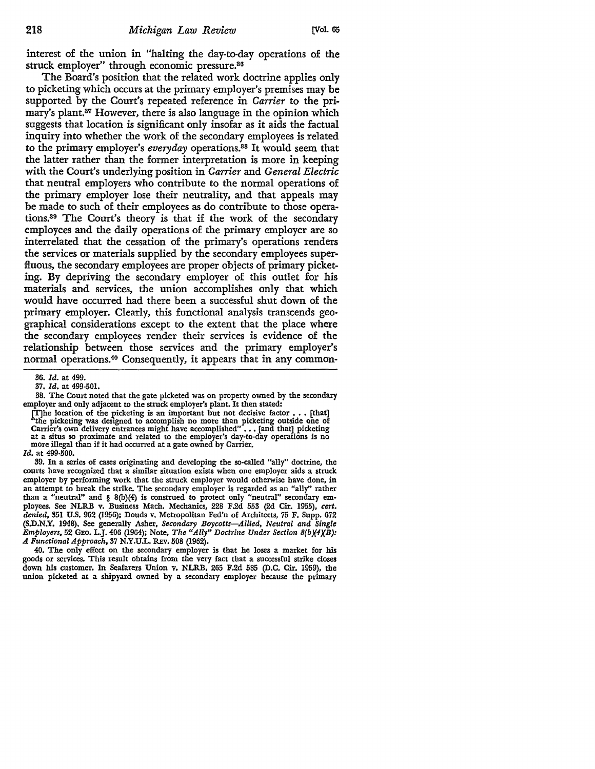interest of the union in "halting the day-to-day operations of the struck employer" through economic pressure.86

The Board's position that the related work doctrine applies only to picketing which occurs at the primary employer's premises may be supported by the Court's repeated reference in *Carrier* to the primary's plant.<sup>37</sup> However, there is also language in the opinion which suggests that location is significant only insofar as it aids the factual inquiry into whether the work of the secondary employees is related to the primary employer's *everyday* operations.88 It would seem that the latter rather than the former interpretation is more in keeping with the Court's underlying position in *Carrier* and *General Electric*  that neutral employers who contribute to the normal operations of the primary employer lose their neutrality, and that appeals may be made to such of their employees as do contribute to those operations.89 The Court's theory is that if the work of the secondary employees and the daily operations of the primary employer are so interrelated that the cessation of the primary's operations renders the services or materials supplied by the secondary employees superfluous, the secondary employees are proper objects of primary picketing. By depriving the secondary employer of this outlet for his materials and services, the union accomplishes only that which would have occurred had there been a successful shut down of the primary employer. Clearly, this functional analysis transcends geographical considerations except to the extent that the place where the secondary employees render their services is evidence of the relationship between those services and the primary employer's normal operations.4° Consequently, it appears that in any common-

<sup>36.</sup> *Id.* at 499.

<sup>37.</sup> *Id.* at 499-501.

<sup>38.</sup> The Court noted that the gate picketed was on property owned by the secondary employer and only adjacent to the struck employer's plant. It then stated:

The location of the picketing is an important but not decisive factor . . . [that]<br>"the picketing was designed to accomplish no more than picketing outside one of Carrier's own delivery entrances might have accomplished" . at a situs so proximate and related to the employer's day-to-day operations is no more illegal than if it had occurred at a gate owned by Carrier.

*Id.* at 499-500.

<sup>39.</sup> In a series of cases originating and developing the so-called "ally" doctrine, the courts have recognized that a similar situation exists when one employer aids a struck employer by performing work that the struck employer would otherwise have done, in an attempt to break the strike. The secondary employer is regarded as an "ally" rather than a "neutral" and § 8(b)(4) is construed to protect only "neutral" secondary em• ployees. See NLRB v. Business Mach. Mechanics, 228 F.2d 553 (2d Cir. 1955), *cert. denied,* 351 U.S. 962 (1956); Douds v. Metropolitan Fed'n of Architects, 75 F. Supp. 672 (S.D.N.Y. 1948). See generally Asher, *Secondary Boycotts-Allied, Neutral and Single Employers,* 52 GEO. L.J. 406 (1964); Note, *The "Ally" Doctrine Under Section B(bX4XB): A Functional Approach,* 37 N.Y.UL. REv. 508 (1962).

<sup>40.</sup> The only effect on the secondary employer is that he loses a market for his goods or services. This result obtains from the very fact that a successful strike closes down his customer. In Seafarers Union v. NLRB, 265 F.2d 585 (D.C. Cir. 1959), the union picketed at a shipyard owned by a secondary employer because the primary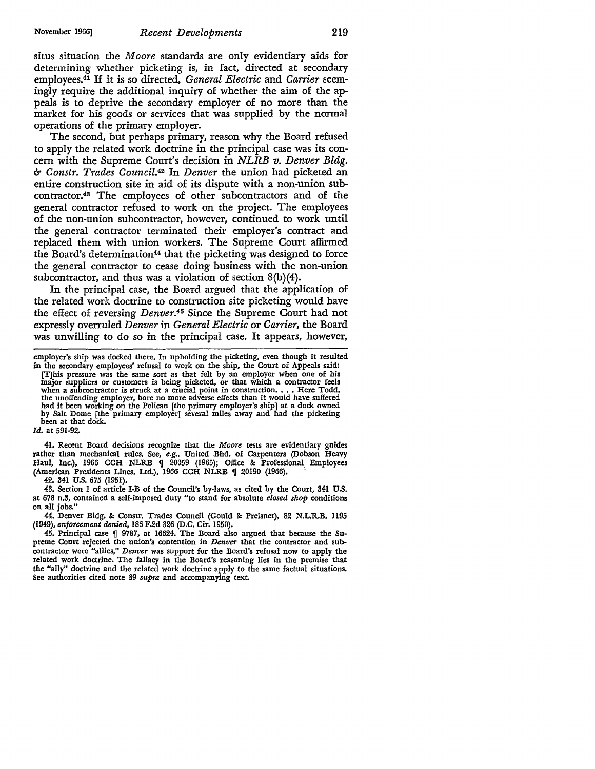situs situation the *Moore* standards are only evidentiary aids for determining whether picketing is, in fact, directed at secondary employees.41 If it is so directed, *General Electric* and *Carrier* seemingly require the additional inquiry of whether the aim of the appeals is to deprive the secondary employer of no more than the market for his goods or services that was supplied by the normal operations of the primary employer.

The second, but perhaps primary, reason why the Board refused *to* apply the related work doctrine in the principal case was its concern with the Supreme Court's decision in *NLRB v. Denver Bldg. b Constr. Trades Council.42* In *Denver* the union had picketed an entire construction site in aid of its dispute with a non-union subcontractor. 43 The employees of other subcontractors and of the general contractor refused *to* work on the project. The employees of the non-union subcontractor, however, continued to work until the general contractor terminated their employer's contract and replaced them with union workers. The Supreme Court affirmed the Board's determination44 that the picketing was designed *to* force the general contractor to cease doing business with the non-union subcontractor, and thus was a violation of section 8(b)(4).

In the principal case, the Board argued that the application of the related work doctrine to construction site picketing would have the effect of reversing *Denver.45* Since the Supreme Court had not expressly overruled *Denver* in *General Electric* or *Carrier,* the Board was unwilling *to* do so in the principal case. It appears, however,

*Id.* at 591-92.

41. Recent Board decisions recognize that the *Moore* tests are evidentiary guides rather than mechanical rules. See, *e.g.*, United Bhd. of Carpenters (Dobson Heavy Haul, Inc.), 1966 CCH NLRB ¶ 20059 (1965); Office & Professional Employees (American Presidents Lines, Ltd.), 1966 CCH NLRB ¶ 20190 (1966).

42. 341 U.S. 675 (1951).

43. Section 1 of article I-B of the Council's by-laws, as cited by the Court, 341 U.S. at 678 n.3, contained a self-imposed duty "to stand for absolute *closed shop* conditions on all jobs."

44. Denver Bldg. & Constr. Trades Council (Gould & Preisner), 82 N.L.R.B. 1195 (1949), *enforcement denied*, 186 F.2d 326 (D.C. Cir. 1950).

45. Principal case  $\P$  9787, at 16624. The Board also argued that because the Supreme Court rejected the union's contention in *Denver* that the contractor and subcontractor were "allies," *Denver* was support for the Board's refusal now to apply the related work doctrine. The fallacy in the Board's reasoning lies in the premise that the "ally" doctrine and the related work doctrine apply to the same factual situations. See authorities cited note 39 *supra* and accompanying text.

employer's ship was docked there. In upholding the picketing, even though it resulted

in the secondary employees' refusal to work on the ship, the Court of Appeals said: [T)his pressure was the same sort as that felt by an employer when one of his major suppliers or customers is being picketed, or that which a contractor feels when a subcontractor is struck at a crucial point in construction •••• Here Todd, the unoffending employer, bore no more adverse effects than it would have suffered had it been working on the Pelican [the primary employer's ship] at a dock owned by Salt Dome [the primary employer] several miles away and had the picketing been at that dock.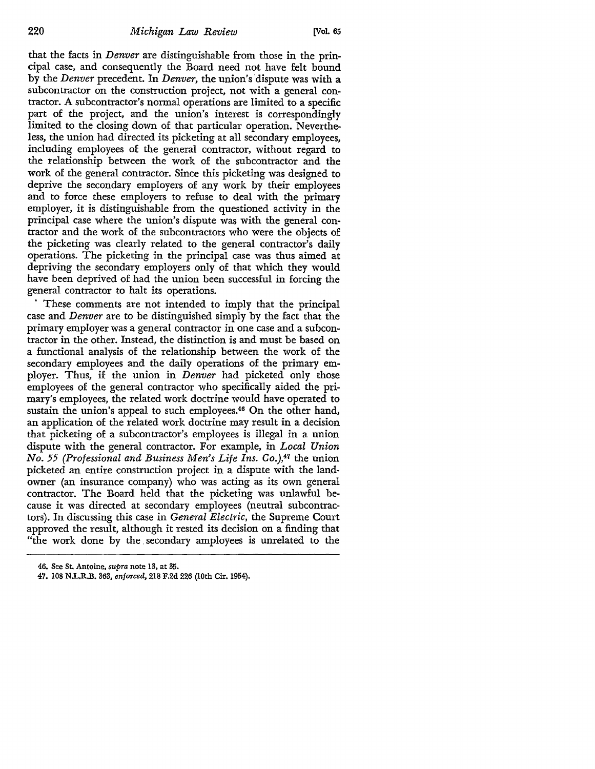that the facts in *Denver* are distinguishable from those in the principal case, and consequently the Board need not have felt bound by the *Denver* precedent. In *Denver,* the union's dispute was with a subcontractor on the construction project, not with a general contractor. A subcontractor's normal operations are limited to a specific part of the project, and the union's interest is correspondingly limited to the closing down of that particular operation. Nevertheless, the union had directed its picketing at all secondary employees, including employees of the general contractor, without regard to the relationship between the work of the subcontractor and the work of the general contractor. Since this picketing was designed to deprive the secondary employers of any work by their employees and to force these employers to refuse to deal with the primary employer, it is distinguishable from the questioned activity in the principal case where the union's dispute was with the general contractor and the work of the subcontractors who were the objects of the picketing was clearly related to the general contractor's daily operations. The picketing in the principal case was thus aimed at depriving the secondary employers only of that which they would have been deprived of had the union been successful in forcing the general contractor to halt its operations.

These comments are not intended to imply that the principal case and *Denver* are to be distinguished simply by the fact that the primary employer was a general contractor in one case and a subcontractor in the other. Instead, the distinction is and must be based on a functional analysis of the relationship between the work of the secondary employees and the daily operations of the primary employer. Thus, if the union in *Denver* had picketed only those employees of the general contractor who specifically aided the primary's employees, the related work doctrine would have operated to sustain the union's appeal to such employees.<sup>46</sup> On the other hand, an application of the related work doctrine may result in a decision that picketing of a subcontractor's employees is illegal in a union dispute with the general contractor. For example, in *Local Union No. 55 (Professional and Business Men's Life Ins. Co.),41* the union picketed an entire construction project in a dispute with the landowner (an insurance company) who was acting as its own general contractor. The Board held that the picketing was unlawful because it was directed at secondary employees (neutral subcontractors). In discussing this case in *General Electric,* the Supreme Court approved the result, although it rested its decision on a finding that "the work done by the . secondary amployees is unrelated to the

47. 108 **N.L.R.B.** 363, *enforced,* 218 F.2d 226 (10th Cir. 1954).

<sup>46.</sup> See St. Antoine, *supra* note 13, at 35.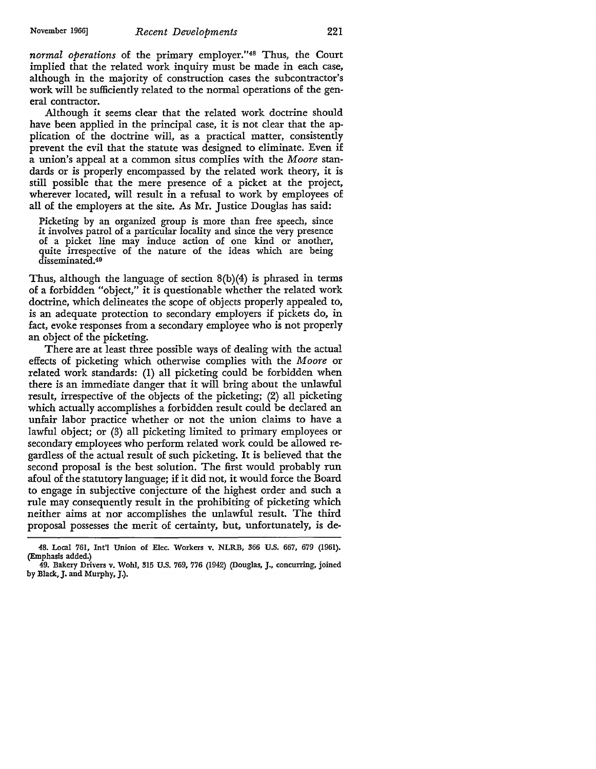*normal operations* of the primary employer.''48 Thus, the Court implied that the related work inquiry must be made in each case, although in the majority of construction cases the subcontractor's work will be sufficiently related to the normal operations of the general contractor.

Although it seems clear that the related work doctrine should have been applied in the principal case, it is not clear that the application of the doctrine will, as a practical matter, consistently prevent the evil that the statute was designed to eliminate. Even if a union's appeal at a common situs complies with the *Moore* standards or is properly encompassed by the related work theory, it is still possible that the mere presence of a picket at the project, wherever located, will result in a refusal to work by employees of all of the employers at the site. As Mr. Justice Douglas has said:

Picketing by an organized group is more than free speech, since it involves patrol of a particular locality and since the very presence of a picket line may induce action of one kind or another, quite irrespective of the nature of the ideas which are being disseminated.40

Thus, although the language of section 8(b)(4) is phrased in terms of a forbidden "object," it is questionable whether the related work doctrine, which delineates the scope of objects properly appealed to, is an adequate protection to secondary employers if pickets do, in fact, evoke responses from a secondary employee who is not properly an object of the picketing.

There are at least three possible ways of dealing with the actual effects of picketing which otherwise complies with the *Moore* or related work standards: (I) all picketing could be forbidden when there is an immediate danger that it will bring about the unlawful result, irrespective of the objects of the picketing; (2) all picketing which actually accomplishes a forbidden result could be declared an unfair labor practice whether or not the union claims to have a lawful object; or (3) all picketing limited to primary employees or secondary employees who perform related work could be allowed regardless of the actual result of such picketing. It is believed that the second proposal is the best solution. The first would probably run afoul of the statutory language; if it did not, it would force the Board to engage in subjective conjecture of the highest order and such a rule may consequently result in the prohibiting of picketing which neither aims at nor accomplishes the unlawful result. The third proposal possesses the merit of certainty, but, unfortunately, is de-

<sup>48.</sup> Local 761, Int'l Union of Elec. Workers v. NLRB, 366 U.S. 667, 679 (1961). (Emphasis added.)

<sup>49.</sup> Bakery Drivers v. Wohl, 315 U.S. 769, 776 (1942) (Douglas, J., concurring, joined by Black, J. and Murphy, J.).